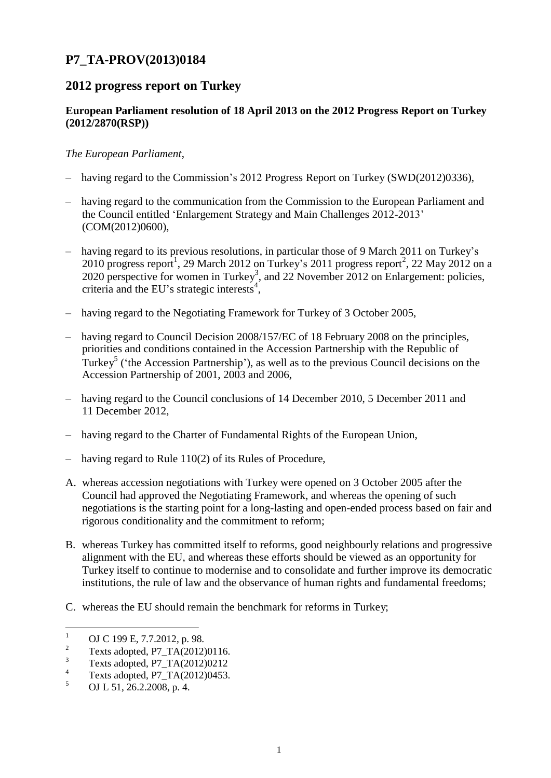# **P7\_TA-PROV(2013)0184**

## **2012 progress report on Turkey**

### **European Parliament resolution of 18 April 2013 on the 2012 Progress Report on Turkey (2012/2870(RSP))**

#### *The European Parliament*,

- having regard to the Commission's 2012 Progress Report on Turkey (SWD(2012)0336),
- having regard to the communication from the Commission to the European Parliament and the Council entitled 'Enlargement Strategy and Main Challenges 2012-2013' (COM(2012)0600),
- having regard to its previous resolutions, in particular those of 9 March 2011 on Turkey's 2010 progress report<sup>1</sup>, 29 March 2012 on Turkey's 2011 progress report<sup>2</sup>, 22 May 2012 on a 2020 perspective for women in Turkey<sup>3</sup>, and 22 November 2012 on Enlargement: policies, criteria and the EU's strategic interests 4 ,
- having regard to the Negotiating Framework for Turkey of 3 October 2005,
- having regard to Council Decision 2008/157/EC of 18 February 2008 on the principles, priorities and conditions contained in the Accession Partnership with the Republic of Turkey<sup>5</sup> ('the Accession Partnership'), as well as to the previous Council decisions on the Accession Partnership of 2001, 2003 and 2006,
- having regard to the Council conclusions of 14 December 2010, 5 December 2011 and 11 December 2012,
- having regard to the Charter of Fundamental Rights of the European Union,
- having regard to Rule 110(2) of its Rules of Procedure,
- A. whereas accession negotiations with Turkey were opened on 3 October 2005 after the Council had approved the Negotiating Framework, and whereas the opening of such negotiations is the starting point for a long-lasting and open-ended process based on fair and rigorous conditionality and the commitment to reform;
- B. whereas Turkey has committed itself to reforms, good neighbourly relations and progressive alignment with the EU, and whereas these efforts should be viewed as an opportunity for Turkey itself to continue to modernise and to consolidate and further improve its democratic institutions, the rule of law and the observance of human rights and fundamental freedoms;
- C. whereas the EU should remain the benchmark for reforms in Turkey;

<sup>&</sup>lt;sup>1</sup> OJ C 199 E, 7.7.2012, p. 98.

<sup>2</sup> Texts adopted, P7\_TA(2012)0116.

 $3 \text{ Texts adopted, } P7\_TA(2012)0212$ 

 $^{4}$  Texts adopted, P7\_TA(2012)0453.

<sup>5</sup> OJ L 51, 26.2.2008, p. 4.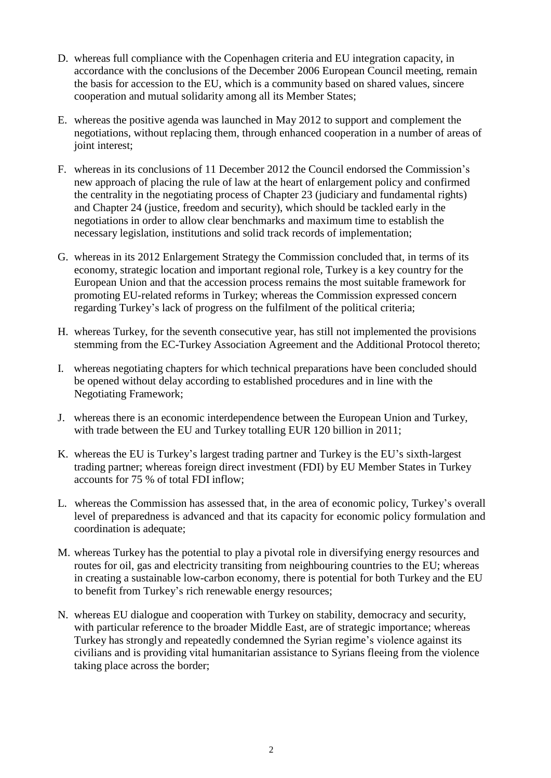- D. whereas full compliance with the Copenhagen criteria and EU integration capacity, in accordance with the conclusions of the December 2006 European Council meeting, remain the basis for accession to the EU, which is a community based on shared values, sincere cooperation and mutual solidarity among all its Member States;
- E. whereas the positive agenda was launched in May 2012 to support and complement the negotiations, without replacing them, through enhanced cooperation in a number of areas of joint interest;
- F. whereas in its conclusions of 11 December 2012 the Council endorsed the Commission's new approach of placing the rule of law at the heart of enlargement policy and confirmed the centrality in the negotiating process of Chapter 23 (judiciary and fundamental rights) and Chapter 24 (justice, freedom and security), which should be tackled early in the negotiations in order to allow clear benchmarks and maximum time to establish the necessary legislation, institutions and solid track records of implementation;
- G. whereas in its 2012 Enlargement Strategy the Commission concluded that, in terms of its economy, strategic location and important regional role, Turkey is a key country for the European Union and that the accession process remains the most suitable framework for promoting EU-related reforms in Turkey; whereas the Commission expressed concern regarding Turkey's lack of progress on the fulfilment of the political criteria;
- H. whereas Turkey, for the seventh consecutive year, has still not implemented the provisions stemming from the EC-Turkey Association Agreement and the Additional Protocol thereto;
- I. whereas negotiating chapters for which technical preparations have been concluded should be opened without delay according to established procedures and in line with the Negotiating Framework;
- J. whereas there is an economic interdependence between the European Union and Turkey, with trade between the EU and Turkey totalling EUR 120 billion in 2011;
- K. whereas the EU is Turkey's largest trading partner and Turkey is the EU's sixth-largest trading partner; whereas foreign direct investment (FDI) by EU Member States in Turkey accounts for 75 % of total FDI inflow;
- L. whereas the Commission has assessed that, in the area of economic policy, Turkey's overall level of preparedness is advanced and that its capacity for economic policy formulation and coordination is adequate;
- M. whereas Turkey has the potential to play a pivotal role in diversifying energy resources and routes for oil, gas and electricity transiting from neighbouring countries to the EU; whereas in creating a sustainable low-carbon economy, there is potential for both Turkey and the EU to benefit from Turkey's rich renewable energy resources;
- N. whereas EU dialogue and cooperation with Turkey on stability, democracy and security, with particular reference to the broader Middle East, are of strategic importance; whereas Turkey has strongly and repeatedly condemned the Syrian regime's violence against its civilians and is providing vital humanitarian assistance to Syrians fleeing from the violence taking place across the border;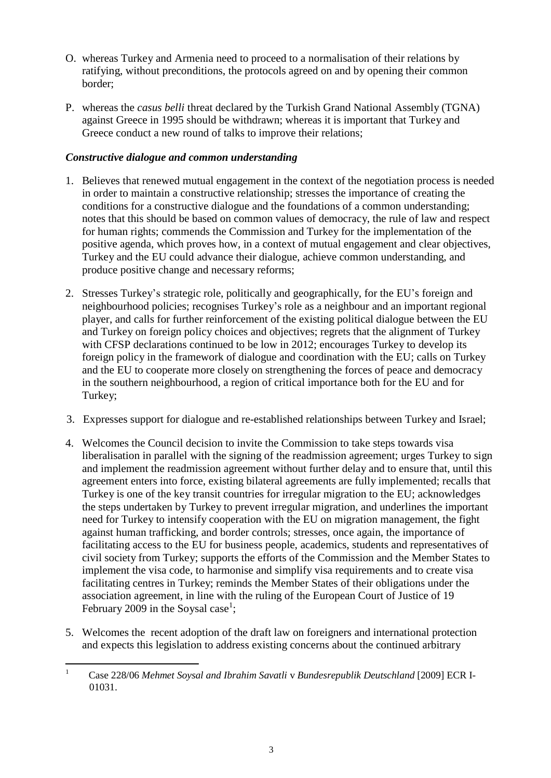- O. whereas Turkey and Armenia need to proceed to a normalisation of their relations by ratifying, without preconditions, the protocols agreed on and by opening their common border;
- P. whereas the *casus belli* threat declared by the Turkish Grand National Assembly (TGNA) against Greece in 1995 should be withdrawn; whereas it is important that Turkey and Greece conduct a new round of talks to improve their relations;

#### *Constructive dialogue and common understanding*

- 1. Believes that renewed mutual engagement in the context of the negotiation process is needed in order to maintain a constructive relationship; stresses the importance of creating the conditions for a constructive dialogue and the foundations of a common understanding; notes that this should be based on common values of democracy, the rule of law and respect for human rights; commends the Commission and Turkey for the implementation of the positive agenda, which proves how, in a context of mutual engagement and clear objectives, Turkey and the EU could advance their dialogue, achieve common understanding, and produce positive change and necessary reforms;
- 2. Stresses Turkey's strategic role, politically and geographically, for the EU's foreign and neighbourhood policies; recognises Turkey's role as a neighbour and an important regional player, and calls for further reinforcement of the existing political dialogue between the EU and Turkey on foreign policy choices and objectives; regrets that the alignment of Turkey with CFSP declarations continued to be low in 2012; encourages Turkey to develop its foreign policy in the framework of dialogue and coordination with the EU; calls on Turkey and the EU to cooperate more closely on strengthening the forces of peace and democracy in the southern neighbourhood, a region of critical importance both for the EU and for Turkey;
- 3. Expresses support for dialogue and re-established relationships between Turkey and Israel;
- 4. Welcomes the Council decision to invite the Commission to take steps towards visa liberalisation in parallel with the signing of the readmission agreement; urges Turkey to sign and implement the readmission agreement without further delay and to ensure that, until this agreement enters into force, existing bilateral agreements are fully implemented; recalls that Turkey is one of the key transit countries for irregular migration to the EU; acknowledges the steps undertaken by Turkey to prevent irregular migration, and underlines the important need for Turkey to intensify cooperation with the EU on migration management, the fight against human trafficking, and border controls; stresses, once again, the importance of facilitating access to the EU for business people, academics, students and representatives of civil society from Turkey; supports the efforts of the Commission and the Member States to implement the visa code, to harmonise and simplify visa requirements and to create visa facilitating centres in Turkey; reminds the Member States of their obligations under the association agreement, in line with the ruling of the European Court of Justice of 19 February 2009 in the Soysal case<sup>1</sup>;
- 5. Welcomes the recent adoption of the draft law on foreigners and international protection and expects this legislation to address existing concerns about the continued arbitrary

<sup>1</sup> Case 228/06 *Mehmet Soysal and Ibrahim Savatli* v *Bundesrepublik Deutschland* [2009] ECR I-01031.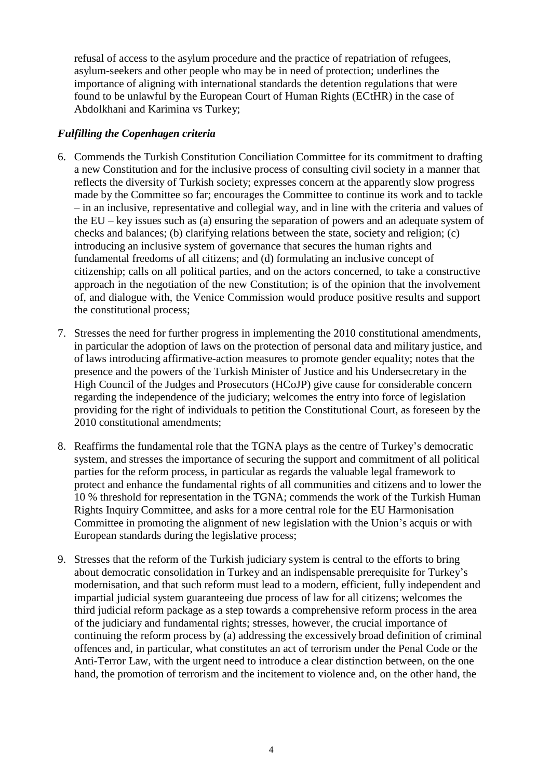refusal of access to the asylum procedure and the practice of repatriation of refugees, asylum-seekers and other people who may be in need of protection; underlines the importance of aligning with international standards the detention regulations that were found to be unlawful by the European Court of Human Rights (ECtHR) in the case of Abdolkhani and Karimina vs Turkey;

#### *Fulfilling the Copenhagen criteria*

- 6. Commends the Turkish Constitution Conciliation Committee for its commitment to drafting a new Constitution and for the inclusive process of consulting civil society in a manner that reflects the diversity of Turkish society; expresses concern at the apparently slow progress made by the Committee so far; encourages the Committee to continue its work and to tackle – in an inclusive, representative and collegial way, and in line with the criteria and values of the EU – key issues such as (a) ensuring the separation of powers and an adequate system of checks and balances; (b) clarifying relations between the state, society and religion; (c) introducing an inclusive system of governance that secures the human rights and fundamental freedoms of all citizens; and (d) formulating an inclusive concept of citizenship; calls on all political parties, and on the actors concerned, to take a constructive approach in the negotiation of the new Constitution; is of the opinion that the involvement of, and dialogue with, the Venice Commission would produce positive results and support the constitutional process;
- 7. Stresses the need for further progress in implementing the 2010 constitutional amendments, in particular the adoption of laws on the protection of personal data and military justice, and of laws introducing affirmative-action measures to promote gender equality; notes that the presence and the powers of the Turkish Minister of Justice and his Undersecretary in the High Council of the Judges and Prosecutors (HCoJP) give cause for considerable concern regarding the independence of the judiciary; welcomes the entry into force of legislation providing for the right of individuals to petition the Constitutional Court, as foreseen by the 2010 constitutional amendments;
- 8. Reaffirms the fundamental role that the TGNA plays as the centre of Turkey's democratic system, and stresses the importance of securing the support and commitment of all political parties for the reform process, in particular as regards the valuable legal framework to protect and enhance the fundamental rights of all communities and citizens and to lower the 10 % threshold for representation in the TGNA; commends the work of the Turkish Human Rights Inquiry Committee, and asks for a more central role for the EU Harmonisation Committee in promoting the alignment of new legislation with the Union's acquis or with European standards during the legislative process;
- 9. Stresses that the reform of the Turkish judiciary system is central to the efforts to bring about democratic consolidation in Turkey and an indispensable prerequisite for Turkey's modernisation, and that such reform must lead to a modern, efficient, fully independent and impartial judicial system guaranteeing due process of law for all citizens; welcomes the third judicial reform package as a step towards a comprehensive reform process in the area of the judiciary and fundamental rights; stresses, however, the crucial importance of continuing the reform process by (a) addressing the excessively broad definition of criminal offences and, in particular, what constitutes an act of terrorism under the Penal Code or the Anti-Terror Law, with the urgent need to introduce a clear distinction between, on the one hand, the promotion of terrorism and the incitement to violence and, on the other hand, the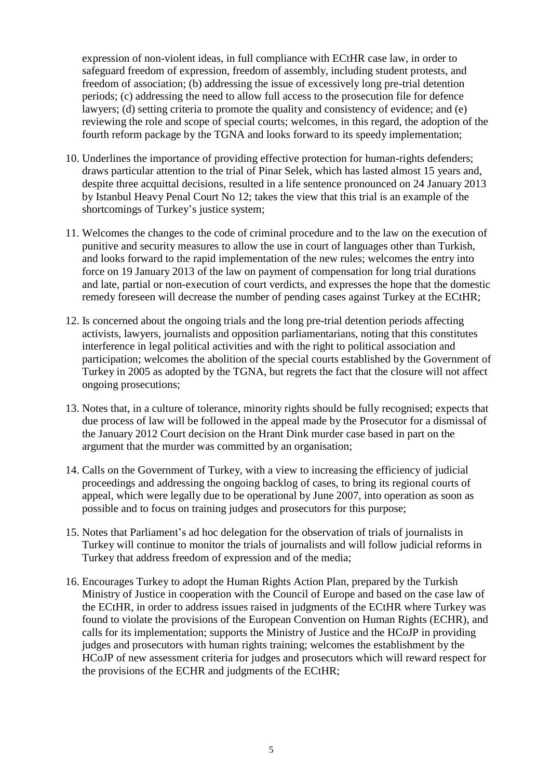expression of non-violent ideas, in full compliance with ECtHR case law, in order to safeguard freedom of expression, freedom of assembly, including student protests, and freedom of association; (b) addressing the issue of excessively long pre-trial detention periods; (c) addressing the need to allow full access to the prosecution file for defence lawyers; (d) setting criteria to promote the quality and consistency of evidence; and (e) reviewing the role and scope of special courts; welcomes, in this regard, the adoption of the fourth reform package by the TGNA and looks forward to its speedy implementation;

- 10. Underlines the importance of providing effective protection for human-rights defenders; draws particular attention to the trial of Pinar Selek, which has lasted almost 15 years and, despite three acquittal decisions, resulted in a life sentence pronounced on 24 January 2013 by Istanbul Heavy Penal Court No 12; takes the view that this trial is an example of the shortcomings of Turkey's justice system;
- 11. Welcomes the changes to the code of criminal procedure and to the law on the execution of punitive and security measures to allow the use in court of languages other than Turkish, and looks forward to the rapid implementation of the new rules; welcomes the entry into force on 19 January 2013 of the law on payment of compensation for long trial durations and late, partial or non-execution of court verdicts, and expresses the hope that the domestic remedy foreseen will decrease the number of pending cases against Turkey at the ECtHR;
- 12. Is concerned about the ongoing trials and the long pre-trial detention periods affecting activists, lawyers, journalists and opposition parliamentarians, noting that this constitutes interference in legal political activities and with the right to political association and participation; welcomes the abolition of the special courts established by the Government of Turkey in 2005 as adopted by the TGNA, but regrets the fact that the closure will not affect ongoing prosecutions;
- 13. Notes that, in a culture of tolerance, minority rights should be fully recognised; expects that due process of law will be followed in the appeal made by the Prosecutor for a dismissal of the January 2012 Court decision on the Hrant Dink murder case based in part on the argument that the murder was committed by an organisation;
- 14. Calls on the Government of Turkey, with a view to increasing the efficiency of judicial proceedings and addressing the ongoing backlog of cases, to bring its regional courts of appeal, which were legally due to be operational by June 2007, into operation as soon as possible and to focus on training judges and prosecutors for this purpose;
- 15. Notes that Parliament's ad hoc delegation for the observation of trials of journalists in Turkey will continue to monitor the trials of journalists and will follow judicial reforms in Turkey that address freedom of expression and of the media;
- 16. Encourages Turkey to adopt the Human Rights Action Plan, prepared by the Turkish Ministry of Justice in cooperation with the Council of Europe and based on the case law of the ECtHR, in order to address issues raised in judgments of the ECtHR where Turkey was found to violate the provisions of the European Convention on Human Rights (ECHR), and calls for its implementation; supports the Ministry of Justice and the HCoJP in providing judges and prosecutors with human rights training; welcomes the establishment by the HCoJP of new assessment criteria for judges and prosecutors which will reward respect for the provisions of the ECHR and judgments of the ECtHR;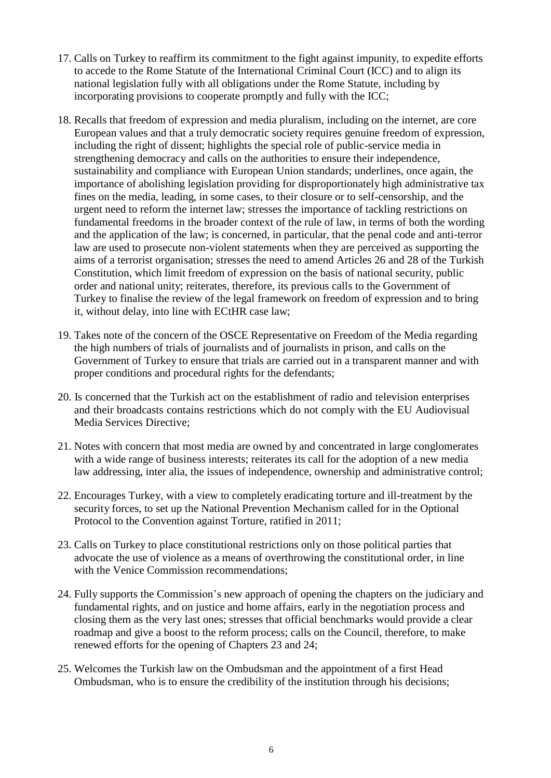- 17. Calls on Turkey to reaffirm its commitment to the fight against impunity, to expedite efforts to accede to the Rome Statute of the International Criminal Court (ICC) and to align its national legislation fully with all obligations under the Rome Statute, including by incorporating provisions to cooperate promptly and fully with the ICC;
- 18. Recalls that freedom of expression and media pluralism, including on the internet, are core European values and that a truly democratic society requires genuine freedom of expression, including the right of dissent; highlights the special role of public-service media in strengthening democracy and calls on the authorities to ensure their independence, sustainability and compliance with European Union standards; underlines, once again, the importance of abolishing legislation providing for disproportionately high administrative tax fines on the media, leading, in some cases, to their closure or to self-censorship, and the urgent need to reform the internet law; stresses the importance of tackling restrictions on fundamental freedoms in the broader context of the rule of law, in terms of both the wording and the application of the law; is concerned, in particular, that the penal code and anti-terror law are used to prosecute non-violent statements when they are perceived as supporting the aims of a terrorist organisation; stresses the need to amend Articles 26 and 28 of the Turkish Constitution, which limit freedom of expression on the basis of national security, public order and national unity; reiterates, therefore, its previous calls to the Government of Turkey to finalise the review of the legal framework on freedom of expression and to bring it, without delay, into line with ECtHR case law;
- 19. Takes note of the concern of the OSCE Representative on Freedom of the Media regarding the high numbers of trials of journalists and of journalists in prison, and calls on the Government of Turkey to ensure that trials are carried out in a transparent manner and with proper conditions and procedural rights for the defendants;
- 20. Is concerned that the Turkish act on the establishment of radio and television enterprises and their broadcasts contains restrictions which do not comply with the EU Audiovisual Media Services Directive;
- 21. Notes with concern that most media are owned by and concentrated in large conglomerates with a wide range of business interests; reiterates its call for the adoption of a new media law addressing, inter alia, the issues of independence, ownership and administrative control;
- 22. Encourages Turkey, with a view to completely eradicating torture and ill-treatment by the security forces, to set up the National Prevention Mechanism called for in the Optional Protocol to the Convention against Torture, ratified in 2011;
- 23. Calls on Turkey to place constitutional restrictions only on those political parties that advocate the use of violence as a means of overthrowing the constitutional order, in line with the Venice Commission recommendations:
- 24. Fully supports the Commission's new approach of opening the chapters on the judiciary and fundamental rights, and on justice and home affairs, early in the negotiation process and closing them as the very last ones; stresses that official benchmarks would provide a clear roadmap and give a boost to the reform process; calls on the Council, therefore, to make renewed efforts for the opening of Chapters 23 and 24;
- 25. Welcomes the Turkish law on the Ombudsman and the appointment of a first Head Ombudsman, who is to ensure the credibility of the institution through his decisions;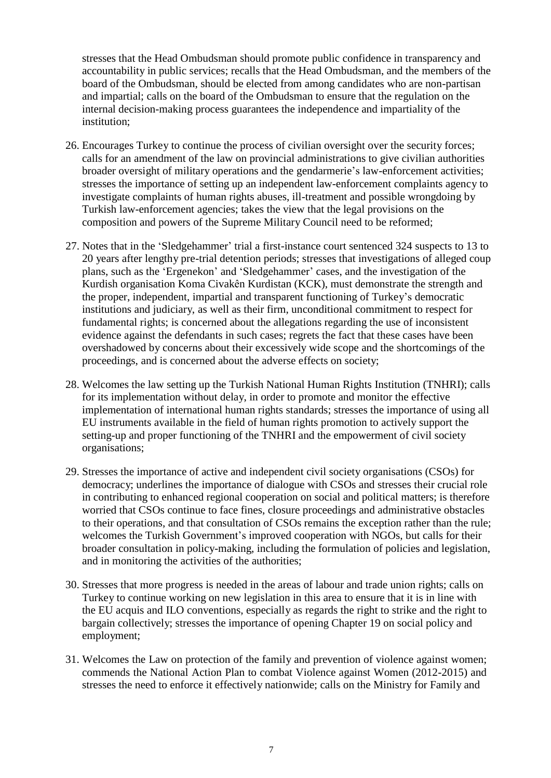stresses that the Head Ombudsman should promote public confidence in transparency and accountability in public services; recalls that the Head Ombudsman, and the members of the board of the Ombudsman, should be elected from among candidates who are non-partisan and impartial; calls on the board of the Ombudsman to ensure that the regulation on the internal decision-making process guarantees the independence and impartiality of the institution;

- 26. Encourages Turkey to continue the process of civilian oversight over the security forces; calls for an amendment of the law on provincial administrations to give civilian authorities broader oversight of military operations and the gendarmerie's law-enforcement activities; stresses the importance of setting up an independent law-enforcement complaints agency to investigate complaints of human rights abuses, ill-treatment and possible wrongdoing by Turkish law-enforcement agencies; takes the view that the legal provisions on the composition and powers of the Supreme Military Council need to be reformed;
- 27. Notes that in the 'Sledgehammer' trial a first-instance court sentenced 324 suspects to 13 to 20 years after lengthy pre-trial detention periods; stresses that investigations of alleged coup plans, such as the 'Ergenekon' and 'Sledgehammer' cases, and the investigation of the Kurdish organisation Koma Civakên Kurdistan (KCK), must demonstrate the strength and the proper, independent, impartial and transparent functioning of Turkey's democratic institutions and judiciary, as well as their firm, unconditional commitment to respect for fundamental rights; is concerned about the allegations regarding the use of inconsistent evidence against the defendants in such cases; regrets the fact that these cases have been overshadowed by concerns about their excessively wide scope and the shortcomings of the proceedings, and is concerned about the adverse effects on society;
- 28. Welcomes the law setting up the Turkish National Human Rights Institution (TNHRI); calls for its implementation without delay, in order to promote and monitor the effective implementation of international human rights standards; stresses the importance of using all EU instruments available in the field of human rights promotion to actively support the setting-up and proper functioning of the TNHRI and the empowerment of civil society organisations;
- 29. Stresses the importance of active and independent civil society organisations (CSOs) for democracy; underlines the importance of dialogue with CSOs and stresses their crucial role in contributing to enhanced regional cooperation on social and political matters; is therefore worried that CSOs continue to face fines, closure proceedings and administrative obstacles to their operations, and that consultation of CSOs remains the exception rather than the rule; welcomes the Turkish Government's improved cooperation with NGOs, but calls for their broader consultation in policy-making, including the formulation of policies and legislation, and in monitoring the activities of the authorities;
- 30. Stresses that more progress is needed in the areas of labour and trade union rights; calls on Turkey to continue working on new legislation in this area to ensure that it is in line with the EU acquis and ILO conventions, especially as regards the right to strike and the right to bargain collectively; stresses the importance of opening Chapter 19 on social policy and employment;
- 31. Welcomes the Law on protection of the family and prevention of violence against women; commends the National Action Plan to combat Violence against Women (2012-2015) and stresses the need to enforce it effectively nationwide; calls on the Ministry for Family and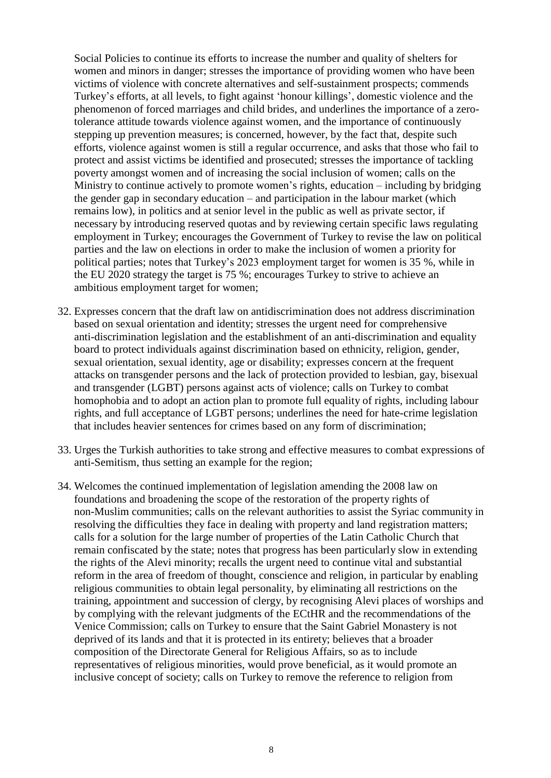Social Policies to continue its efforts to increase the number and quality of shelters for women and minors in danger; stresses the importance of providing women who have been victims of violence with concrete alternatives and self-sustainment prospects; commends Turkey's efforts, at all levels, to fight against 'honour killings', domestic violence and the phenomenon of forced marriages and child brides, and underlines the importance of a zerotolerance attitude towards violence against women, and the importance of continuously stepping up prevention measures; is concerned, however, by the fact that, despite such efforts, violence against women is still a regular occurrence, and asks that those who fail to protect and assist victims be identified and prosecuted; stresses the importance of tackling poverty amongst women and of increasing the social inclusion of women; calls on the Ministry to continue actively to promote women's rights, education – including by bridging the gender gap in secondary education – and participation in the labour market (which remains low), in politics and at senior level in the public as well as private sector, if necessary by introducing reserved quotas and by reviewing certain specific laws regulating employment in Turkey; encourages the Government of Turkey to revise the law on political parties and the law on elections in order to make the inclusion of women a priority for political parties; notes that Turkey's 2023 employment target for women is 35 %, while in the EU 2020 strategy the target is 75 %; encourages Turkey to strive to achieve an ambitious employment target for women;

- 32. Expresses concern that the draft law on antidiscrimination does not address discrimination based on sexual orientation and identity; stresses the urgent need for comprehensive anti-discrimination legislation and the establishment of an anti-discrimination and equality board to protect individuals against discrimination based on ethnicity, religion, gender, sexual orientation, sexual identity, age or disability; expresses concern at the frequent attacks on transgender persons and the lack of protection provided to lesbian, gay, bisexual and transgender (LGBT) persons against acts of violence; calls on Turkey to combat homophobia and to adopt an action plan to promote full equality of rights, including labour rights, and full acceptance of LGBT persons; underlines the need for hate-crime legislation that includes heavier sentences for crimes based on any form of discrimination;
- 33. Urges the Turkish authorities to take strong and effective measures to combat expressions of anti-Semitism, thus setting an example for the region;
- 34. Welcomes the continued implementation of legislation amending the 2008 law on foundations and broadening the scope of the restoration of the property rights of non-Muslim communities; calls on the relevant authorities to assist the Syriac community in resolving the difficulties they face in dealing with property and land registration matters; calls for a solution for the large number of properties of the Latin Catholic Church that remain confiscated by the state; notes that progress has been particularly slow in extending the rights of the Alevi minority; recalls the urgent need to continue vital and substantial reform in the area of freedom of thought, conscience and religion, in particular by enabling religious communities to obtain legal personality, by eliminating all restrictions on the training, appointment and succession of clergy, by recognising Alevi places of worships and by complying with the relevant judgments of the ECtHR and the recommendations of the Venice Commission; calls on Turkey to ensure that the Saint Gabriel Monastery is not deprived of its lands and that it is protected in its entirety; believes that a broader composition of the Directorate General for Religious Affairs, so as to include representatives of religious minorities, would prove beneficial, as it would promote an inclusive concept of society; calls on Turkey to remove the reference to religion from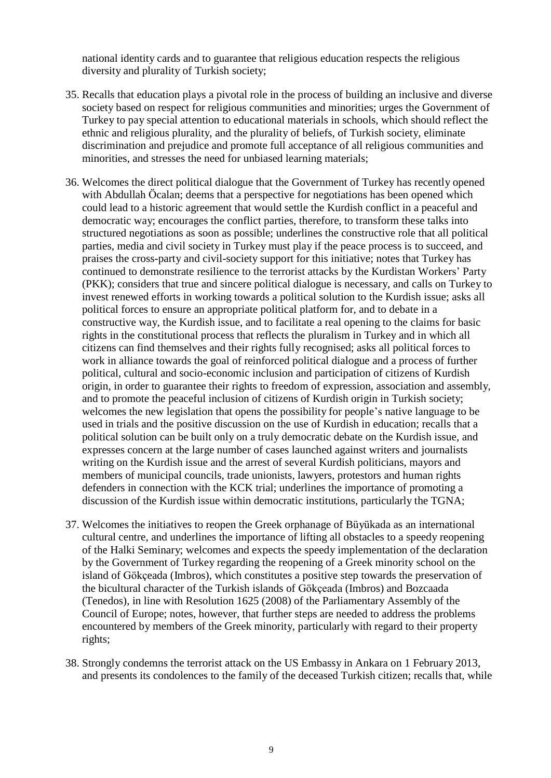national identity cards and to guarantee that religious education respects the religious diversity and plurality of Turkish society;

- 35. Recalls that education plays a pivotal role in the process of building an inclusive and diverse society based on respect for religious communities and minorities; urges the Government of Turkey to pay special attention to educational materials in schools, which should reflect the ethnic and religious plurality, and the plurality of beliefs, of Turkish society, eliminate discrimination and prejudice and promote full acceptance of all religious communities and minorities, and stresses the need for unbiased learning materials;
- 36. Welcomes the direct political dialogue that the Government of Turkey has recently opened with Abdullah Öcalan; deems that a perspective for negotiations has been opened which could lead to a historic agreement that would settle the Kurdish conflict in a peaceful and democratic way; encourages the conflict parties, therefore, to transform these talks into structured negotiations as soon as possible; underlines the constructive role that all political parties, media and civil society in Turkey must play if the peace process is to succeed, and praises the cross-party and civil-society support for this initiative; notes that Turkey has continued to demonstrate resilience to the terrorist attacks by the Kurdistan Workers' Party (PKK); considers that true and sincere political dialogue is necessary, and calls on Turkey to invest renewed efforts in working towards a political solution to the Kurdish issue; asks all political forces to ensure an appropriate political platform for, and to debate in a constructive way, the Kurdish issue, and to facilitate a real opening to the claims for basic rights in the constitutional process that reflects the pluralism in Turkey and in which all citizens can find themselves and their rights fully recognised; asks all political forces to work in alliance towards the goal of reinforced political dialogue and a process of further political, cultural and socio-economic inclusion and participation of citizens of Kurdish origin, in order to guarantee their rights to freedom of expression, association and assembly, and to promote the peaceful inclusion of citizens of Kurdish origin in Turkish society; welcomes the new legislation that opens the possibility for people's native language to be used in trials and the positive discussion on the use of Kurdish in education; recalls that a political solution can be built only on a truly democratic debate on the Kurdish issue, and expresses concern at the large number of cases launched against writers and journalists writing on the Kurdish issue and the arrest of several Kurdish politicians, mayors and members of municipal councils, trade unionists, lawyers, protestors and human rights defenders in connection with the KCK trial; underlines the importance of promoting a discussion of the Kurdish issue within democratic institutions, particularly the TGNA;
- 37. Welcomes the initiatives to reopen the Greek orphanage of Büyükada as an international cultural centre, and underlines the importance of lifting all obstacles to a speedy reopening of the Halki Seminary; welcomes and expects the speedy implementation of the declaration by the Government of Turkey regarding the reopening of a Greek minority school on the island of Gökçeada (Imbros), which constitutes a positive step towards the preservation of the bicultural character of the Turkish islands of Gökçeada (Imbros) and Bozcaada (Tenedos), in line with Resolution 1625 (2008) of the Parliamentary Assembly of the Council of Europe; notes, however, that further steps are needed to address the problems encountered by members of the Greek minority, particularly with regard to their property rights;
- 38. Strongly condemns the terrorist attack on the US Embassy in Ankara on 1 February 2013, and presents its condolences to the family of the deceased Turkish citizen; recalls that, while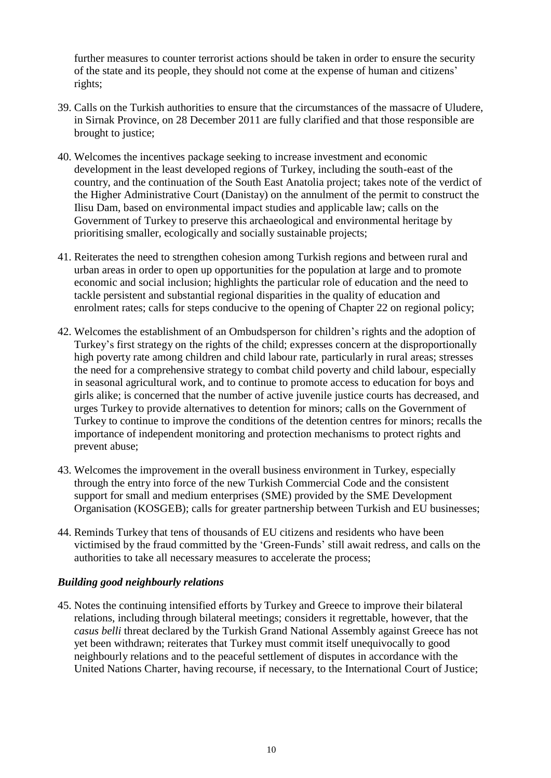further measures to counter terrorist actions should be taken in order to ensure the security of the state and its people, they should not come at the expense of human and citizens' rights;

- 39. Calls on the Turkish authorities to ensure that the circumstances of the massacre of Uludere, in Sirnak Province, on 28 December 2011 are fully clarified and that those responsible are brought to justice;
- 40. Welcomes the incentives package seeking to increase investment and economic development in the least developed regions of Turkey, including the south-east of the country, and the continuation of the South East Anatolia project; takes note of the verdict of the Higher Administrative Court (Danistay) on the annulment of the permit to construct the Ilisu Dam, based on environmental impact studies and applicable law; calls on the Government of Turkey to preserve this archaeological and environmental heritage by prioritising smaller, ecologically and socially sustainable projects;
- 41. Reiterates the need to strengthen cohesion among Turkish regions and between rural and urban areas in order to open up opportunities for the population at large and to promote economic and social inclusion; highlights the particular role of education and the need to tackle persistent and substantial regional disparities in the quality of education and enrolment rates; calls for steps conducive to the opening of Chapter 22 on regional policy;
- 42. Welcomes the establishment of an Ombudsperson for children's rights and the adoption of Turkey's first strategy on the rights of the child; expresses concern at the disproportionally high poverty rate among children and child labour rate, particularly in rural areas; stresses the need for a comprehensive strategy to combat child poverty and child labour, especially in seasonal agricultural work, and to continue to promote access to education for boys and girls alike; is concerned that the number of active juvenile justice courts has decreased, and urges Turkey to provide alternatives to detention for minors; calls on the Government of Turkey to continue to improve the conditions of the detention centres for minors; recalls the importance of independent monitoring and protection mechanisms to protect rights and prevent abuse;
- 43. Welcomes the improvement in the overall business environment in Turkey, especially through the entry into force of the new Turkish Commercial Code and the consistent support for small and medium enterprises (SME) provided by the SME Development Organisation (KOSGEB); calls for greater partnership between Turkish and EU businesses;
- 44. Reminds Turkey that tens of thousands of EU citizens and residents who have been victimised by the fraud committed by the 'Green-Funds' still await redress, and calls on the authorities to take all necessary measures to accelerate the process;

#### *Building good neighbourly relations*

45. Notes the continuing intensified efforts by Turkey and Greece to improve their bilateral relations, including through bilateral meetings; considers it regrettable, however, that the *casus belli* threat declared by the Turkish Grand National Assembly against Greece has not yet been withdrawn; reiterates that Turkey must commit itself unequivocally to good neighbourly relations and to the peaceful settlement of disputes in accordance with the United Nations Charter, having recourse, if necessary, to the International Court of Justice;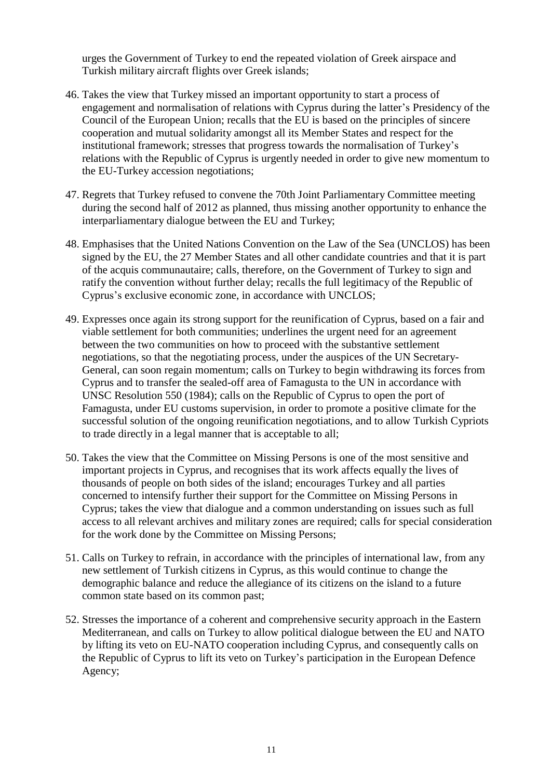urges the Government of Turkey to end the repeated violation of Greek airspace and Turkish military aircraft flights over Greek islands;

- 46. Takes the view that Turkey missed an important opportunity to start a process of engagement and normalisation of relations with Cyprus during the latter's Presidency of the Council of the European Union; recalls that the EU is based on the principles of sincere cooperation and mutual solidarity amongst all its Member States and respect for the institutional framework; stresses that progress towards the normalisation of Turkey's relations with the Republic of Cyprus is urgently needed in order to give new momentum to the EU-Turkey accession negotiations;
- 47. Regrets that Turkey refused to convene the 70th Joint Parliamentary Committee meeting during the second half of 2012 as planned, thus missing another opportunity to enhance the interparliamentary dialogue between the EU and Turkey;
- 48. Emphasises that the United Nations Convention on the Law of the Sea (UNCLOS) has been signed by the EU, the 27 Member States and all other candidate countries and that it is part of the acquis communautaire; calls, therefore, on the Government of Turkey to sign and ratify the convention without further delay; recalls the full legitimacy of the Republic of Cyprus's exclusive economic zone, in accordance with UNCLOS;
- 49. Expresses once again its strong support for the reunification of Cyprus, based on a fair and viable settlement for both communities; underlines the urgent need for an agreement between the two communities on how to proceed with the substantive settlement negotiations, so that the negotiating process, under the auspices of the UN Secretary-General, can soon regain momentum; calls on Turkey to begin withdrawing its forces from Cyprus and to transfer the sealed-off area of Famagusta to the UN in accordance with UNSC Resolution 550 (1984); calls on the Republic of Cyprus to open the port of Famagusta, under EU customs supervision, in order to promote a positive climate for the successful solution of the ongoing reunification negotiations, and to allow Turkish Cypriots to trade directly in a legal manner that is acceptable to all;
- 50. Takes the view that the Committee on Missing Persons is one of the most sensitive and important projects in Cyprus, and recognises that its work affects equally the lives of thousands of people on both sides of the island; encourages Turkey and all parties concerned to intensify further their support for the Committee on Missing Persons in Cyprus; takes the view that dialogue and a common understanding on issues such as full access to all relevant archives and military zones are required; calls for special consideration for the work done by the Committee on Missing Persons;
- 51. Calls on Turkey to refrain, in accordance with the principles of international law, from any new settlement of Turkish citizens in Cyprus, as this would continue to change the demographic balance and reduce the allegiance of its citizens on the island to a future common state based on its common past;
- 52. Stresses the importance of a coherent and comprehensive security approach in the Eastern Mediterranean, and calls on Turkey to allow political dialogue between the EU and NATO by lifting its veto on EU-NATO cooperation including Cyprus, and consequently calls on the Republic of Cyprus to lift its veto on Turkey's participation in the European Defence Agency;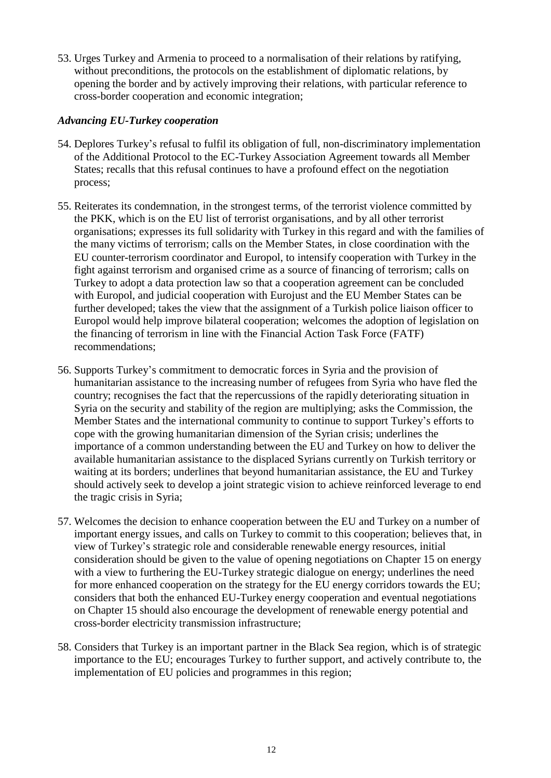53. Urges Turkey and Armenia to proceed to a normalisation of their relations by ratifying, without preconditions, the protocols on the establishment of diplomatic relations, by opening the border and by actively improving their relations, with particular reference to cross-border cooperation and economic integration;

#### *Advancing EU-Turkey cooperation*

- 54. Deplores Turkey's refusal to fulfil its obligation of full, non-discriminatory implementation of the Additional Protocol to the EC-Turkey Association Agreement towards all Member States; recalls that this refusal continues to have a profound effect on the negotiation process;
- 55. Reiterates its condemnation, in the strongest terms, of the terrorist violence committed by the PKK, which is on the EU list of terrorist organisations, and by all other terrorist organisations; expresses its full solidarity with Turkey in this regard and with the families of the many victims of terrorism; calls on the Member States, in close coordination with the EU counter-terrorism coordinator and Europol, to intensify cooperation with Turkey in the fight against terrorism and organised crime as a source of financing of terrorism; calls on Turkey to adopt a data protection law so that a cooperation agreement can be concluded with Europol, and judicial cooperation with Eurojust and the EU Member States can be further developed; takes the view that the assignment of a Turkish police liaison officer to Europol would help improve bilateral cooperation; welcomes the adoption of legislation on the financing of terrorism in line with the Financial Action Task Force (FATF) recommendations;
- 56. Supports Turkey's commitment to democratic forces in Syria and the provision of humanitarian assistance to the increasing number of refugees from Syria who have fled the country; recognises the fact that the repercussions of the rapidly deteriorating situation in Syria on the security and stability of the region are multiplying; asks the Commission, the Member States and the international community to continue to support Turkey's efforts to cope with the growing humanitarian dimension of the Syrian crisis; underlines the importance of a common understanding between the EU and Turkey on how to deliver the available humanitarian assistance to the displaced Syrians currently on Turkish territory or waiting at its borders; underlines that beyond humanitarian assistance, the EU and Turkey should actively seek to develop a joint strategic vision to achieve reinforced leverage to end the tragic crisis in Syria;
- 57. Welcomes the decision to enhance cooperation between the EU and Turkey on a number of important energy issues, and calls on Turkey to commit to this cooperation; believes that, in view of Turkey's strategic role and considerable renewable energy resources, initial consideration should be given to the value of opening negotiations on Chapter 15 on energy with a view to furthering the EU-Turkey strategic dialogue on energy; underlines the need for more enhanced cooperation on the strategy for the EU energy corridors towards the EU; considers that both the enhanced EU-Turkey energy cooperation and eventual negotiations on Chapter 15 should also encourage the development of renewable energy potential and cross-border electricity transmission infrastructure;
- 58. Considers that Turkey is an important partner in the Black Sea region, which is of strategic importance to the EU; encourages Turkey to further support, and actively contribute to, the implementation of EU policies and programmes in this region;